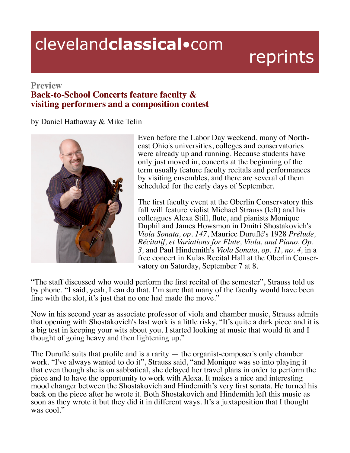## clevelandclassical.com

## reprints

## **Preview**

## **Back-to-School Concerts feature faculty & visiting performers and a composition contest**

by Daniel Hathaway & Mike Telin



Even before the Labor Day weekend, many of Northeast Ohio's universities, colleges and conservatories were already up and running. Because students have only just moved in, concerts at the beginning of the term usually feature faculty recitals and performances by visiting ensembles, and there are several of them scheduled for the early days of September.

The first faculty event at the Oberlin Conservatory this fall will feature violist Michael Strauss (left) and his colleagues Alexa Still, flute, and pianists Monique Duphil and James Howsmon in Dmitri Shostakovich's Viola Sonata, op. 147, Maurice Duruflé's 1928 Prélude, *Récitatif, et Variations for Flute, Viola, and Piano, Op. 3,* and Paul Hindemith's *Viola Sonata, op. 11, no. 4,* in a free concert in Kulas Recital Hall at the Oberlin Conservatory on Saturday, September 7 at 8.

"The staff discussed who would perform the first recital of the semester", Strauss told us by phone. "I said, yeah, I can do that. I'm sure that many of the faculty would have been fine with the slot, it's just that no one had made the move."

Now in his second year as associate professor of viola and chamber music, Strauss admits that opening with Shostakovich's last work is a little risky. "It's quite a dark piece and it is a big test in keeping your wits about you. I started looking at music that would fit and I thought of going heavy and then lightening up."

The Duruflé suits that profile and is a rarity  $-$  the organist-composer's only chamber work. "I've always wanted to do it", Strauss said, "and Monique was so into playing it that even though she is on sabbatical, she delayed her travel plans in order to perform the piece and to have the opportunity to work with Alexa. It makes a nice and interesting mood changer between the Shostakovich and Hindemith's very first sonata. He turned his back on the piece after he wrote it. Both Shostakovich and Hindemith left this music as soon as they wrote it but they did it in different ways. It's a juxtaposition that I thought was  $\text{cool}$ ."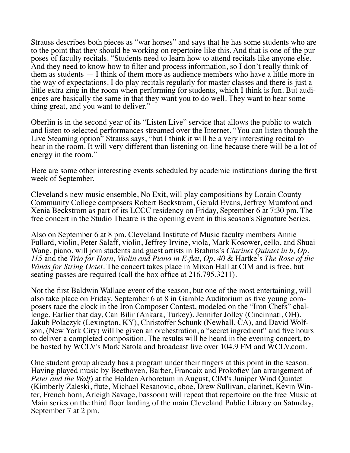Strauss describes both pieces as "war horses" and says that he has some students who are to the point that they should be working on repertoire like this. And that is one of the purposes of faculty recitals. "Students need to learn how to attend recitals like anyone else. And they need to know how to filter and process information, so I don't really think of them as students  $-1$  think of them more as audience members who have a little more in the way of expectations. I do play recitals regularly for master classes and there is just a little extra zing in the room when performing for students, which I think is fun. But audi-<br>ences are basically the same in that they want you to do well. They want to hear some-<br>thing great, and you want to deliver."

Oberlin is in the second year of its "Listen Live" service that allows the public to watch and listen to selected performances streamed over the Internet. "You can listen though the Live Steaming option<sup>3</sup> Strauss says, "but I think it will be a very interesting recital to hear in the room. It will very different than listening on-line because there will be a lot of energy in the room."

Here are some other interesting events scheduled by academic institutions during the first week of September.

Cleveland's new music ensemble, No Exit, will play compositions by Lorain County Community College composers Robert Beckstrom, Gerald Evans, Jeffrey Mumford and Xenia Beckstrom as part of its LCCC residency on Friday, September 6 at 7:30 pm. The free concert in the Studio Theatre is the opening event in this season's Signature Series.

Also on September 6 at 8 pm, Cleveland Institute of Music faculty members Annie Fullard, violin, Peter Salaff, violin, Jeffrey Irvine, viola, Mark Kosower, cello, and Shuai Wang, piano, will join students and guest artists in Brahms's *Clarinet Quintet in b, Op. 115* and the *Trio for Horn, Violin and Piano in E-flat, Op. 40 & Hartke's <i>The Rose of the Winds for String Octet.* The concert takes place in Mixon Hall at CIM and is free, but seating passes are required (call the box office at 216.795.3211).

Not the first Baldwin Wallace event of the season, but one of the most entertaining, will also take place on Friday, September 6 at 8 in Gamble Auditorium as five young composers race the clock in the Iron Composer Contest, modeled on the "Iron Chefs" challenge. Earlier that day, Can Bilir (Ankara, Turkey), Jen Jakub Polaczyk (Lexington, KY), Christoffer Schunk (Newhall, CA), and David Wolfson, (New York City) will be given an orchestration, a "secret ingredient" and five hours to deliver a completed composition. The results will be heard in the evening concert, to be hosted by WCLV's Mark Satola and broadcast live over 104.9 FM and WCLV.com.

One student group already has a program under their fingers at this point in the season. Having played music by Beethoven, Barber, Francaix and Prokofiev (an arrangement of *Peter and the Wolf*) at the Holden Arboretum in August, CIM's Juniper Wind Quintet (Kimberly Zaleski, flute, Michael Resanovic, oboe, Drew Sullivan, clarinet, Kevin Winter, French horn, Arleigh Savage, bassoon) will repeat that repertoire on the free Music at Main series on the third floor landing of the main Cleveland Public Library on Saturday, September 7 at 2 pm.